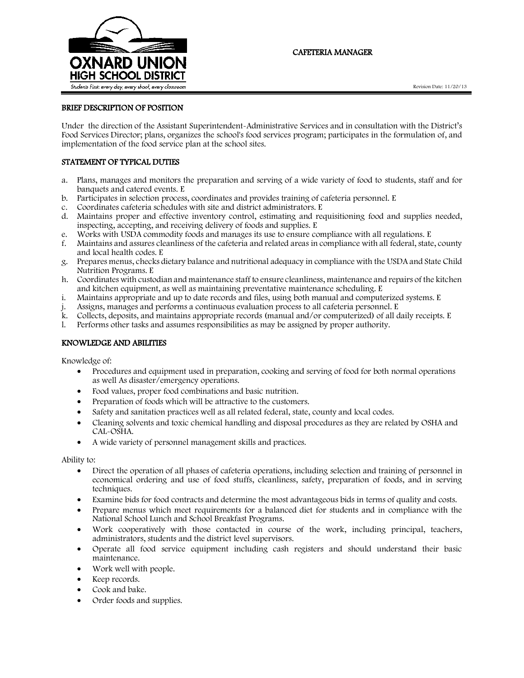

# CAFETERIA MANAGER

### BRIEF DESCRIPTION OF POSITION

Under the direction of the Assistant Superintendent-Administrative Services and in consultation with the District's Food Services Director; plans, organizes the school's food services program; participates in the formulation of, and implementation of the food service plan at the school sites.

## STATEMENT OF TYPICAL DUTIES

- a. Plans, manages and monitors the preparation and serving of a wide variety of food to students, staff and for banquets and catered events. E
- b. Participates in selection process, coordinates and provides training of cafeteria personnel. E
- Coordinates cafeteria schedules with site and district administrators. E
- d. Maintains proper and effective inventory control, estimating and requisitioning food and supplies needed, inspecting, accepting, and receiving delivery of foods and supplies. E
- e. Works with USDA commodity foods and manages its use to ensure compliance with all regulations. E
- f. Maintains and assures cleanliness of the cafeteria and related areas in compliance with all federal, state, county and local health codes. E
- g. Prepares menus, checks dietary balance and nutritional adequacy in compliance with the USDA and State Child Nutrition Programs. E
- h. Coordinates with custodian and maintenance staff to ensure cleanliness, maintenance and repairs of the kitchen and kitchen equipment, as well as maintaining preventative maintenance scheduling. E
- i. Maintains appropriate and up to date records and files, using both manual and computerized systems. E
- j. Assigns, manages and performs a continuous evaluation process to all cafeteria personnel. E
- k. Collects, deposits, and maintains appropriate records (manual and/or computerized) of all daily receipts. E
- l. Performs other tasks and assumes responsibilities as may be assigned by proper authority.

#### KNOWLEDGE AND ABILITIES

Knowledge of:

- Procedures and equipment used in preparation, cooking and serving of food for both normal operations as well As disaster/emergency operations.
- Food values, proper food combinations and basic nutrition.
- Preparation of foods which will be attractive to the customers.
- Safety and sanitation practices well as all related federal, state, county and local codes.
- Cleaning solvents and toxic chemical handling and disposal procedures as they are related by OSHA and CAL-OSHA.
- A wide variety of personnel management skills and practices.

Ability to:

- Direct the operation of all phases of cafeteria operations, including selection and training of personnel in economical ordering and use of food stuffs, cleanliness, safety, preparation of foods, and in serving techniques.
- Examine bids for food contracts and determine the most advantageous bids in terms of quality and costs.
- Prepare menus which meet requirements for a balanced diet for students and in compliance with the National School Lunch and School Breakfast Programs.
- Work cooperatively with those contacted in course of the work, including principal, teachers, administrators, students and the district level supervisors.
- Operate all food service equipment including cash registers and should understand their basic maintenance.
- Work well with people.
- Keep records.
- Cook and bake.
- Order foods and supplies.